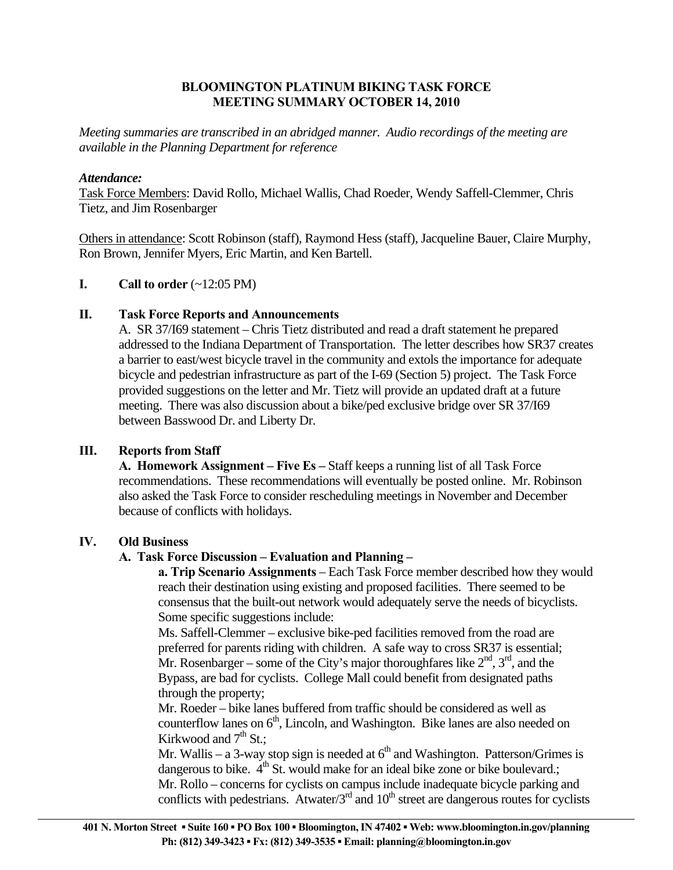## **BLOOMINGTON PLATINUM BIKING TASK FORCE MEETING SUMMARY OCTOBER 14, 2010**

*Meeting summaries are transcribed in an abridged manner. Audio recordings of the meeting are available in the Planning Department for reference* 

## *Attendance:*

Task Force Members: David Rollo, Michael Wallis, Chad Roeder, Wendy Saffell-Clemmer, Chris Tietz, and Jim Rosenbarger

Others in attendance: Scott Robinson (staff), Raymond Hess (staff), Jacqueline Bauer, Claire Murphy, Ron Brown, Jennifer Myers, Eric Martin, and Ken Bartell.

## **I.** Call to order  $(\sim 12:05 \text{ PM})$

## **II. Task Force Reports and Announcements**

 A. SR 37/I69 statement – Chris Tietz distributed and read a draft statement he prepared addressed to the Indiana Department of Transportation. The letter describes how SR37 creates a barrier to east/west bicycle travel in the community and extols the importance for adequate bicycle and pedestrian infrastructure as part of the I-69 (Section 5) project. The Task Force provided suggestions on the letter and Mr. Tietz will provide an updated draft at a future meeting. There was also discussion about a bike/ped exclusive bridge over SR 37/I69 between Basswood Dr. and Liberty Dr.

# **III. Reports from Staff**

 **A. Homework Assignment – Five Es –** Staff keeps a running list of all Task Force recommendations. These recommendations will eventually be posted online. Mr. Robinson also asked the Task Force to consider rescheduling meetings in November and December because of conflicts with holidays.

#### **IV. Old Business**

# **A. Task Force Discussion – Evaluation and Planning –**

**a. Trip Scenario Assignments** – Each Task Force member described how they would reach their destination using existing and proposed facilities. There seemed to be consensus that the built-out network would adequately serve the needs of bicyclists. Some specific suggestions include:

Ms. Saffell-Clemmer – exclusive bike-ped facilities removed from the road are preferred for parents riding with children. A safe way to cross SR37 is essential; Mr. Rosenbarger – some of the City's major thoroughfares like  $2<sup>nd</sup>$ ,  $3<sup>rd</sup>$ , and the Bypass, are bad for cyclists. College Mall could benefit from designated paths through the property;

 Mr. Roeder – bike lanes buffered from traffic should be considered as well as counterflow lanes on  $6<sup>th</sup>$ , Lincoln, and Washington. Bike lanes are also needed on Kirkwood and  $7<sup>th</sup>$  St.:

Mr. Wallis – a 3-way stop sign is needed at  $6<sup>th</sup>$  and Washington. Patterson/Grimes is dangerous to bike.  $4<sup>th</sup>$  St. would make for an ideal bike zone or bike boulevard.; Mr. Rollo – concerns for cyclists on campus include inadequate bicycle parking and conflicts with pedestrians. Atwater/ $3<sup>rd</sup>$  and  $10<sup>th</sup>$  street are dangerous routes for cyclists